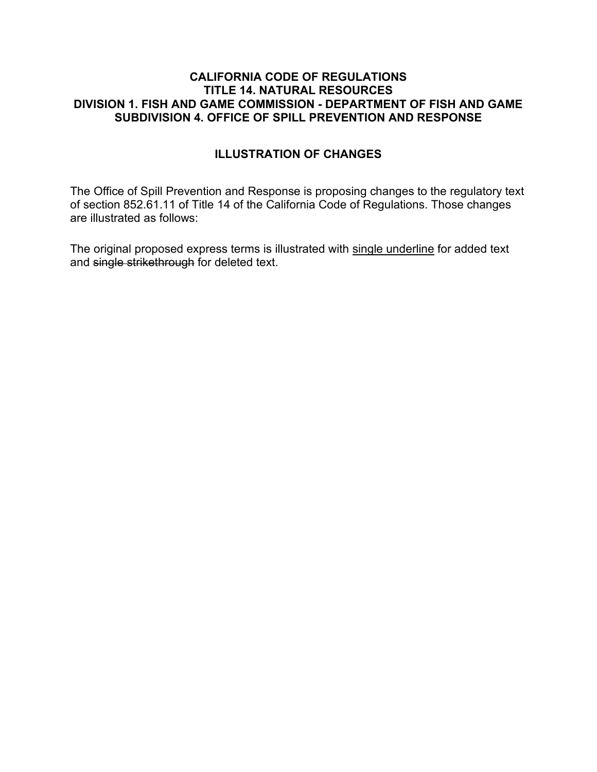## **CALIFORNIA CODE OF REGULATIONS TITLE 14. NATURAL RESOURCES DIVISION 1. FISH AND GAME COMMISSION - DEPARTMENT OF FISH AND GAME SUBDIVISION 4. OFFICE OF SPILL PREVENTION AND RESPONSE**

## **ILLUSTRATION OF CHANGES**

The Office of Spill Prevention and Response is proposing changes to the regulatory text of section 852.61.11 of Title 14 of the California Code of Regulations. Those changes are illustrated as follows:

The original proposed express terms is illustrated with single underline for added text and single strikethrough for deleted text.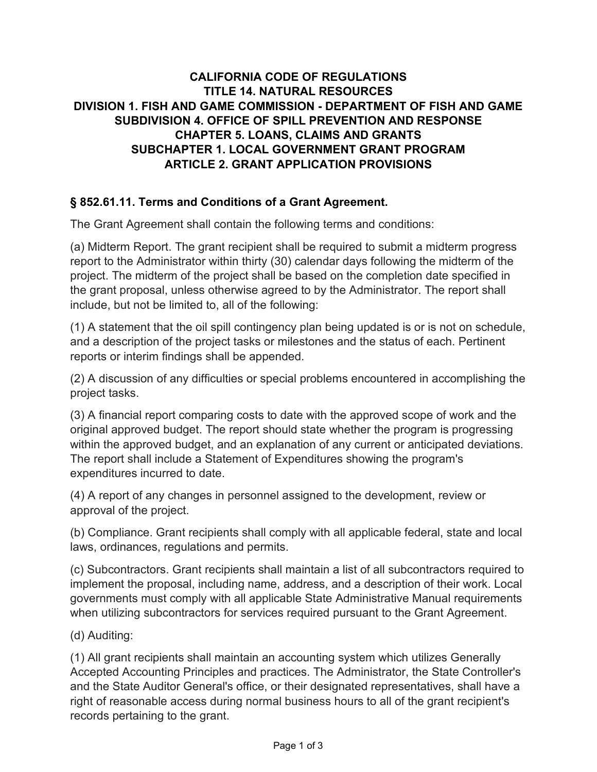## **CALIFORNIA CODE OF REGULATIONS TITLE 14. NATURAL RESOURCES DIVISION 1. FISH AND GAME COMMISSION - DEPARTMENT OF FISH AND GAME SUBDIVISION 4. OFFICE OF SPILL PREVENTION AND RESPONSE CHAPTER 5. LOANS, CLAIMS AND GRANTS SUBCHAPTER 1. LOCAL GOVERNMENT GRANT PROGRAM ARTICLE 2. GRANT APPLICATION PROVISIONS**

## **§ 852.61.11. Terms and Conditions of a Grant Agreement.**

The Grant Agreement shall contain the following terms and conditions:

(a) Midterm Report. The grant recipient shall be required to submit a midterm progress report to the Administrator within thirty (30) calendar days following the midterm of the project. The midterm of the project shall be based on the completion date specified in the grant proposal, unless otherwise agreed to by the Administrator. The report shall include, but not be limited to, all of the following:

(1) A statement that the oil spill contingency plan being updated is or is not on schedule, and a description of the project tasks or milestones and the status of each. Pertinent reports or interim findings shall be appended.

(2) A discussion of any difficulties or special problems encountered in accomplishing the project tasks.

(3) A financial report comparing costs to date with the approved scope of work and the original approved budget. The report should state whether the program is progressing within the approved budget, and an explanation of any current or anticipated deviations. The report shall include a Statement of Expenditures showing the program's expenditures incurred to date.

(4) A report of any changes in personnel assigned to the development, review or approval of the project.

(b) Compliance. Grant recipients shall comply with all applicable federal, state and local laws, ordinances, regulations and permits.

(c) Subcontractors. Grant recipients shall maintain a list of all subcontractors required to implement the proposal, including name, address, and a description of their work. Local governments must comply with all applicable State Administrative Manual requirements when utilizing subcontractors for services required pursuant to the Grant Agreement.

(d) Auditing:

(1) All grant recipients shall maintain an accounting system which utilizes Generally Accepted Accounting Principles and practices. The Administrator, the State Controller's and the State Auditor General's office, or their designated representatives, shall have a right of reasonable access during normal business hours to all of the grant recipient's records pertaining to the grant.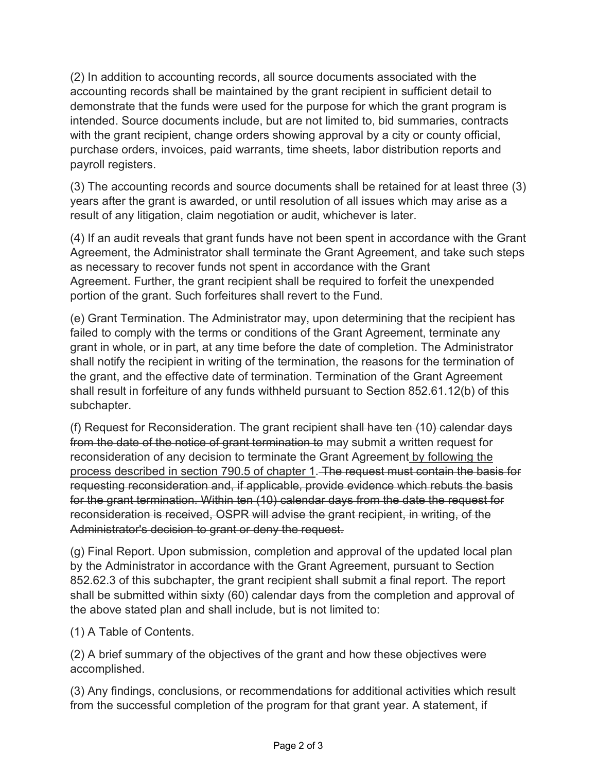(2) In addition to accounting records, all source documents associated with the accounting records shall be maintained by the grant recipient in sufficient detail to demonstrate that the funds were used for the purpose for which the grant program is intended. Source documents include, but are not limited to, bid summaries, contracts with the grant recipient, change orders showing approval by a city or county official, purchase orders, invoices, paid warrants, time sheets, labor distribution reports and payroll registers.

(3) The accounting records and source documents shall be retained for at least three (3) years after the grant is awarded, or until resolution of all issues which may arise as a result of any litigation, claim negotiation or audit, whichever is later.

(4) If an audit reveals that grant funds have not been spent in accordance with the Grant Agreement, the Administrator shall terminate the Grant Agreement, and take such steps as necessary to recover funds not spent in accordance with the Grant Agreement. Further, the grant recipient shall be required to forfeit the unexpended portion of the grant. Such forfeitures shall revert to the Fund.

(e) Grant Termination. The Administrator may, upon determining that the recipient has failed to comply with the terms or conditions of the Grant Agreement, terminate any grant in whole, or in part, at any time before the date of completion. The Administrator shall notify the recipient in writing of the termination, the reasons for the termination of the grant, and the effective date of termination. Termination of the Grant Agreement shall result in forfeiture of any funds withheld pursuant to Section 852.61.12(b) of this subchapter.

(f) Request for Reconsideration. The grant recipient shall have ten (10) calendar days from the date of the notice of grant termination to may submit a written request for reconsideration of any decision to terminate the Grant Agreement by following the process described in section 790.5 of chapter 1. The request must contain the basis for requesting reconsideration and, if applicable, provide evidence which rebuts the basis for the grant termination. Within ten (10) calendar days from the date the request for reconsideration is received, OSPR will advise the grant recipient, in writing, of the Administrator's decision to grant or deny the request.

(g) Final Report. Upon submission, completion and approval of the updated local plan by the Administrator in accordance with the Grant Agreement, pursuant to Section 852.62.3 of this subchapter, the grant recipient shall submit a final report. The report shall be submitted within sixty (60) calendar days from the completion and approval of the above stated plan and shall include, but is not limited to:

(1) A Table of Contents.

(2) A brief summary of the objectives of the grant and how these objectives were accomplished.

(3) Any findings, conclusions, or recommendations for additional activities which result from the successful completion of the program for that grant year. A statement, if